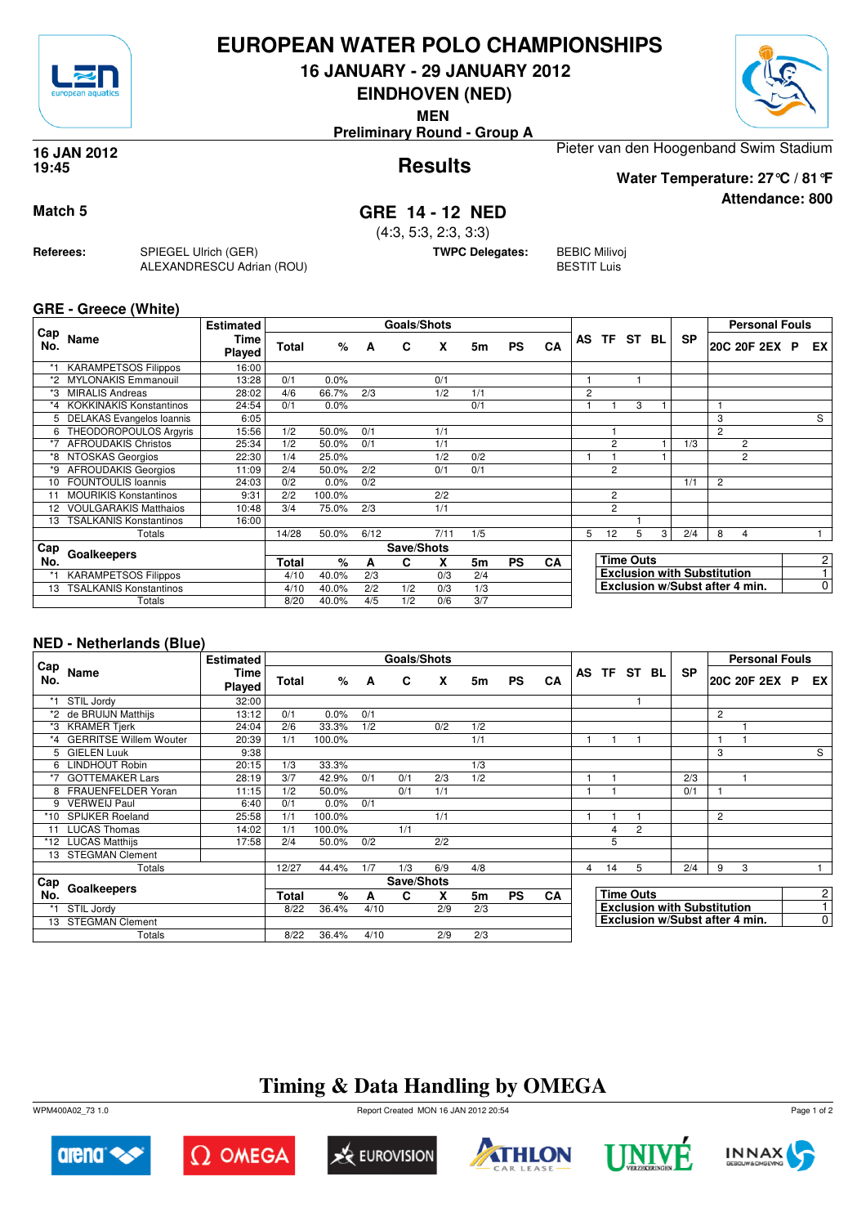

## **EUROPEAN WATER POLO CHAMPIONSHIPS**

**16 JANUARY - 29 JANUARY 2012**

**EINDHOVEN (NED)**

**MEN**

**Preliminary Round - Group A**



**Attendance: 800**

#### **Results 16 JAN 2012 19:45**

Pieter van den Hoogenband Swim Stadium **Water Temperature: 27°C / 81°F**

## **Match 5 GRE 14 - 12 NED**

(4:3, 5:3, 2:3, 3:3)

**TWPC Delegates:** BEBIC Milivoj

BESTIT Luis

**GRE - Greece (White)**

**Referees:** SPIEGEL Ulrich (GER)

ALEXANDRESCU Adrian (ROU)

|            |                                | <b>Estimated</b> |       |         |      | Goals/Shots |      |     |           |           |                |                |                  |   |                                    |                | <b>Personal Fouls</b>          |   |                |
|------------|--------------------------------|------------------|-------|---------|------|-------------|------|-----|-----------|-----------|----------------|----------------|------------------|---|------------------------------------|----------------|--------------------------------|---|----------------|
| Cap<br>No. | Name                           | Time<br>Played   | Total | %       | A    | C           | X    | 5m  | <b>PS</b> | CA        |                | AS TF          | ST BL            |   | <b>SP</b>                          |                | 20C 20F 2EX                    | P | EX I           |
| *1         | <b>KARAMPETSOS Filippos</b>    | 16:00            |       |         |      |             |      |     |           |           |                |                |                  |   |                                    |                |                                |   |                |
|            | <b>MYLONAKIS Emmanouil</b>     | 13:28            | 0/1   | $0.0\%$ |      |             | 0/1  |     |           |           |                |                |                  |   |                                    |                |                                |   |                |
| *3         | <b>MIRALIS Andreas</b>         | 28:02            | 4/6   | 66.7%   | 2/3  |             | 1/2  | 1/1 |           |           | $\overline{2}$ |                |                  |   |                                    |                |                                |   |                |
| *4         | <b>KOKKINAKIS Konstantinos</b> | 24:54            | 0/1   | 0.0%    |      |             |      | 0/1 |           |           |                |                | 3                |   |                                    |                |                                |   |                |
|            | DELAKAS Evangelos Ioannis      | 6:05             |       |         |      |             |      |     |           |           |                |                |                  |   |                                    | 3              |                                |   | S              |
| 6          | THEODOROPOULOS Argyris         | 15:56            | 1/2   | 50.0%   | 0/1  |             | 1/1  |     |           |           |                |                |                  |   |                                    | $\overline{2}$ |                                |   |                |
| *7         | <b>AFROUDAKIS Christos</b>     | 25:34            | 1/2   | 50.0%   | 0/1  |             | 1/1  |     |           |           |                | $\overline{2}$ |                  |   | 1/3                                |                | 2                              |   |                |
| *8         | NTOSKAS Georgios               | 22:30            | 1/4   | 25.0%   |      |             | 1/2  | 0/2 |           |           |                |                |                  |   |                                    |                | $\overline{c}$                 |   |                |
| *9         | <b>AFROUDAKIS Georgios</b>     | 11:09            | 2/4   | 50.0%   | 2/2  |             | 0/1  | 0/1 |           |           |                | $\overline{2}$ |                  |   |                                    |                |                                |   |                |
| 10         | <b>FOUNTOULIS Ioannis</b>      | 24:03            | 0/2   | 0.0%    | 0/2  |             |      |     |           |           |                |                |                  |   | 1/1                                | 2              |                                |   |                |
|            | <b>MOURIKIS Konstantinos</b>   | 9:31             | 2/2   | 100.0%  |      |             | 2/2  |     |           |           |                | 2              |                  |   |                                    |                |                                |   |                |
| 12         | <b>VOULGARAKIS Matthaios</b>   | 10:48            | 3/4   | 75.0%   | 2/3  |             | 1/1  |     |           |           |                | $\overline{2}$ |                  |   |                                    |                |                                |   |                |
| 13         | <b>TSALKANIS Konstantinos</b>  | 16:00            |       |         |      |             |      |     |           |           |                |                |                  |   |                                    |                |                                |   |                |
|            | Totals                         |                  | 14/28 | 50.0%   | 6/12 |             | 7/11 | 1/5 |           |           | 5              | 12             | 5                | 3 | 2/4                                | 8              | 4                              |   |                |
| Cap        |                                |                  |       |         |      | Save/Shots  |      |     |           |           |                |                |                  |   |                                    |                |                                |   |                |
| No.        | Goalkeepers                    |                  | Total | $\%$    | A    | C           | X    | 5m  | <b>PS</b> | <b>CA</b> |                |                | <b>Time Outs</b> |   |                                    |                |                                |   | 2              |
|            | <b>KARAMPETSOS Filippos</b>    |                  | 4/10  | 40.0%   | 2/3  |             | 0/3  | 2/4 |           |           |                |                |                  |   | <b>Exclusion with Substitution</b> |                |                                |   |                |
| 13         | TSALKANIS Konstantinos         |                  | 4/10  | 40.0%   | 2/2  | 1/2         | 0/3  | 1/3 |           |           |                |                |                  |   |                                    |                | Exclusion w/Subst after 4 min. |   | $\overline{0}$ |
|            | Totals                         |                  | 8/20  | 40.0%   | 4/5  | 1/2         | 0/6  | 3/7 |           |           |                |                |                  |   |                                    |                |                                |   |                |

### **NED - Netherlands (Blue)**

|            |                           | <b>Estimated</b>      |       |        |      | Goals/Shots |     |     |           |           |   |                  |                                    |           |   | <b>Personal Fouls</b> |  |                |
|------------|---------------------------|-----------------------|-------|--------|------|-------------|-----|-----|-----------|-----------|---|------------------|------------------------------------|-----------|---|-----------------------|--|----------------|
| Cap<br>No. | Name                      | <b>Time</b><br>Played | Total | %      | A    | C           | X   | 5m  | <b>PS</b> | CA        |   |                  | AS TF ST BL                        | <b>SP</b> |   | 20C 20F 2EX P         |  | EX I           |
|            | STIL Jordy                | 32:00                 |       |        |      |             |     |     |           |           |   |                  |                                    |           |   |                       |  |                |
|            | *2 de BRUIJN Matthijs     | 13:12                 | 0/1   | 0.0%   | 0/1  |             |     |     |           |           |   |                  |                                    |           | 2 |                       |  |                |
| *3         | <b>KRAMER Tjerk</b>       | 24:04                 | 2/6   | 33.3%  | 1/2  |             | 0/2 | 1/2 |           |           |   |                  |                                    |           |   |                       |  |                |
|            | *4 GERRITSE Willem Wouter | 20:39                 | 1/1   | 100.0% |      |             |     | 1/1 |           |           |   |                  |                                    |           | 1 |                       |  |                |
| 5.         | <b>GIELEN Luuk</b>        | 9:38                  |       |        |      |             |     |     |           |           |   |                  |                                    |           | 3 |                       |  | S              |
| 6          | <b>LINDHOUT Robin</b>     | 20:15                 | 1/3   | 33.3%  |      |             |     | 1/3 |           |           |   |                  |                                    |           |   |                       |  |                |
|            | <b>GOTTEMAKER Lars</b>    | 28:19                 | 3/7   | 42.9%  | 0/1  | 0/1         | 2/3 | 1/2 |           |           |   |                  |                                    | 2/3       |   |                       |  |                |
|            | FRAUENFELDER Yoran        | 11:15                 | 1/2   | 50.0%  |      | 0/1         | 1/1 |     |           |           |   |                  |                                    | 0/1       |   |                       |  |                |
| 9          | <b>VERWEIJ Paul</b>       | 6:40                  | 0/1   | 0.0%   | 0/1  |             |     |     |           |           |   |                  |                                    |           |   |                       |  |                |
| *10        | <b>SPIJKER Roeland</b>    | 25:58                 | 1/1   | 100.0% |      |             | 1/1 |     |           |           |   |                  |                                    |           | 2 |                       |  |                |
|            | <b>LUCAS Thomas</b>       | 14:02                 | 1/1   | 100.0% |      | 1/1         |     |     |           |           |   | $\overline{4}$   | $\overline{2}$                     |           |   |                       |  |                |
|            | *12 LUCAS Matthijs        | 17:58                 | 2/4   | 50.0%  | 0/2  |             | 2/2 |     |           |           |   | 5                |                                    |           |   |                       |  |                |
| 13         | <b>STEGMAN Clement</b>    |                       |       |        |      |             |     |     |           |           |   |                  |                                    |           |   |                       |  |                |
|            | Totals                    |                       | 12/27 | 44.4%  | 1/7  | 1/3         | 6/9 | 4/8 |           |           | 4 | 14               | 5                                  | 2/4       | 9 | 3                     |  |                |
| ⊦ Cap      |                           |                       |       |        |      | Save/Shots  |     |     |           |           |   |                  |                                    |           |   |                       |  |                |
| No.        | Goalkeepers               |                       | Total | %      | A    | C           | x   | 5m  | <b>PS</b> | <b>CA</b> |   | <b>Time Outs</b> |                                    |           |   |                       |  |                |
|            | STIL Jordy                |                       | 8/22  | 36.4%  | 4/10 |             | 2/9 | 2/3 |           |           |   |                  | <b>Exclusion with Substitution</b> |           |   |                       |  | $\mathbf{1}$   |
|            | 13 STEGMAN Clement        |                       |       |        |      |             |     |     |           |           |   |                  | Exclusion w/Subst after 4 min.     |           |   |                       |  | $\overline{0}$ |
|            | Totals                    |                       | 8/22  | 36.4%  | 4/10 |             | 2/9 | 2/3 |           |           |   |                  |                                    |           |   |                       |  |                |

# **Timing & Data Handling by OMEGA**

WPM400A02\_73 1.0 Report Created MON 16 JAN 2012 20:54













Page 1 of 2